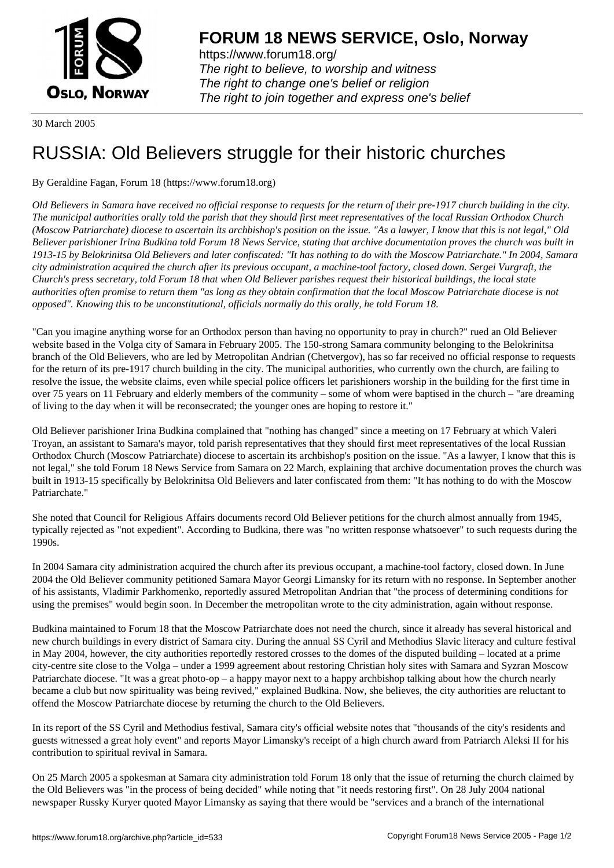

https://www.forum18.org/ The right to believe, to worship and witness The right to change one's belief or religion [The right to join together a](https://www.forum18.org/)nd express one's belief

30 March 2005

## [RUSSIA: Old B](https://www.forum18.org)elievers struggle for their historic churches

## By Geraldine Fagan, Forum 18 (https://www.forum18.org)

*Old Believers in Samara have received no official response to requests for the return of their pre-1917 church building in the city. The municipal authorities orally told the parish that they should first meet representatives of the local Russian Orthodox Church (Moscow Patriarchate) diocese to ascertain its archbishop's position on the issue. "As a lawyer, I know that this is not legal," Old Believer parishioner Irina Budkina told Forum 18 News Service, stating that archive documentation proves the church was built in 1913-15 by Belokrinitsa Old Believers and later confiscated: "It has nothing to do with the Moscow Patriarchate." In 2004, Samara city administration acquired the church after its previous occupant, a machine-tool factory, closed down. Sergei Vurgraft, the Church's press secretary, told Forum 18 that when Old Believer parishes request their historical buildings, the local state authorities often promise to return them "as long as they obtain confirmation that the local Moscow Patriarchate diocese is not opposed". Knowing this to be unconstitutional, officials normally do this orally, he told Forum 18.*

"Can you imagine anything worse for an Orthodox person than having no opportunity to pray in church?" rued an Old Believer website based in the Volga city of Samara in February 2005. The 150-strong Samara community belonging to the Belokrinitsa branch of the Old Believers, who are led by Metropolitan Andrian (Chetvergov), has so far received no official response to requests for the return of its pre-1917 church building in the city. The municipal authorities, who currently own the church, are failing to resolve the issue, the website claims, even while special police officers let parishioners worship in the building for the first time in over 75 years on 11 February and elderly members of the community – some of whom were baptised in the church – "are dreaming of living to the day when it will be reconsecrated; the younger ones are hoping to restore it."

Old Believer parishioner Irina Budkina complained that "nothing has changed" since a meeting on 17 February at which Valeri Troyan, an assistant to Samara's mayor, told parish representatives that they should first meet representatives of the local Russian Orthodox Church (Moscow Patriarchate) diocese to ascertain its archbishop's position on the issue. "As a lawyer, I know that this is not legal," she told Forum 18 News Service from Samara on 22 March, explaining that archive documentation proves the church was built in 1913-15 specifically by Belokrinitsa Old Believers and later confiscated from them: "It has nothing to do with the Moscow Patriarchate."

She noted that Council for Religious Affairs documents record Old Believer petitions for the church almost annually from 1945, typically rejected as "not expedient". According to Budkina, there was "no written response whatsoever" to such requests during the 1990s.

In 2004 Samara city administration acquired the church after its previous occupant, a machine-tool factory, closed down. In June 2004 the Old Believer community petitioned Samara Mayor Georgi Limansky for its return with no response. In September another of his assistants, Vladimir Parkhomenko, reportedly assured Metropolitan Andrian that "the process of determining conditions for using the premises" would begin soon. In December the metropolitan wrote to the city administration, again without response.

Budkina maintained to Forum 18 that the Moscow Patriarchate does not need the church, since it already has several historical and new church buildings in every district of Samara city. During the annual SS Cyril and Methodius Slavic literacy and culture festival in May 2004, however, the city authorities reportedly restored crosses to the domes of the disputed building – located at a prime city-centre site close to the Volga – under a 1999 agreement about restoring Christian holy sites with Samara and Syzran Moscow Patriarchate diocese. "It was a great photo-op – a happy mayor next to a happy archbishop talking about how the church nearly became a club but now spirituality was being revived," explained Budkina. Now, she believes, the city authorities are reluctant to offend the Moscow Patriarchate diocese by returning the church to the Old Believers.

In its report of the SS Cyril and Methodius festival, Samara city's official website notes that "thousands of the city's residents and guests witnessed a great holy event" and reports Mayor Limansky's receipt of a high church award from Patriarch Aleksi II for his contribution to spiritual revival in Samara.

On 25 March 2005 a spokesman at Samara city administration told Forum 18 only that the issue of returning the church claimed by the Old Believers was "in the process of being decided" while noting that "it needs restoring first". On 28 July 2004 national newspaper Russky Kuryer quoted Mayor Limansky as saying that there would be "services and a branch of the international